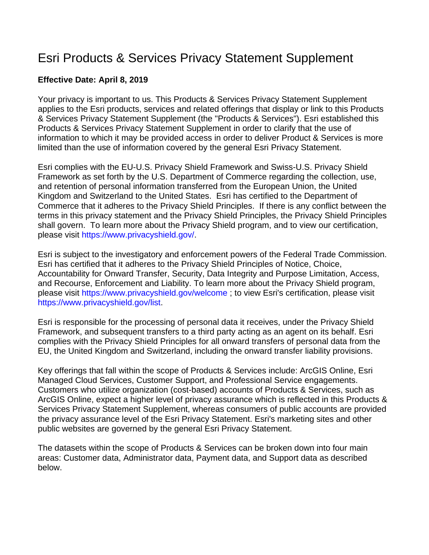# Esri Products & Services Privacy Statement Supplement

## **Effective Date: April 8, 2019**

Your privacy is important to us. This Products & Services Privacy Statement Supplement applies to the Esri products, services and related offerings that display or link to this Products & Services Privacy Statement Supplement (the "Products & Services"). Esri established this Products & Services Privacy Statement Supplement in order to clarify that the use of information to which it may be provided access in order to deliver Product & Services is more limited than the use of information covered by the general Esri Privacy Statement.

Esri complies with the EU-U.S. Privacy Shield Framework and Swiss-U.S. Privacy Shield Framework as set forth by the U.S. Department of Commerce regarding the collection, use, and retention of personal information transferred from the European Union, the United Kingdom and Switzerland to the United States. Esri has certified to the Department of Commerce that it adheres to the Privacy Shield Principles. If there is any conflict between the terms in this privacy statement and the Privacy Shield Principles, the Privacy Shield Principles shall govern. To learn more about the Privacy Shield program, and to view our certification, please visit [https://www.privacyshield.gov/.](https://www.privacyshield.gov/)

Esri is subject to the investigatory and enforcement powers of the Federal Trade Commission. Esri has certified that it adheres to the Privacy Shield Principles of Notice, Choice, Accountability for Onward Transfer, Security, Data Integrity and Purpose Limitation, Access, and Recourse, Enforcement and Liability. To learn more about the Privacy Shield program, please visit <https://www.privacyshield.gov/welcome> ; to view Esri's certification, please visit [https://www.privacyshield.gov/list.](https://www.privacyshield.gov/list)

Esri is responsible for the processing of personal data it receives, under the Privacy Shield Framework, and subsequent transfers to a third party acting as an agent on its behalf. Esri complies with the Privacy Shield Principles for all onward transfers of personal data from the EU, the United Kingdom and Switzerland, including the onward transfer liability provisions.

Key offerings that fall within the scope of Products & Services include: ArcGIS Online, Esri Managed Cloud Services, Customer Support, and Professional Service engagements. Customers who utilize organization (cost-based) accounts of Products & Services, such as ArcGIS Online, expect a higher level of privacy assurance which is reflected in this Products & Services Privacy Statement Supplement, whereas consumers of public accounts are provided the privacy assurance level of the Esri Privacy Statement. Esri's marketing sites and other public websites are governed by the general Esri Privacy Statement.

The datasets within the scope of Products & Services can be broken down into four main areas: Customer data, Administrator data, Payment data, and Support data as described below.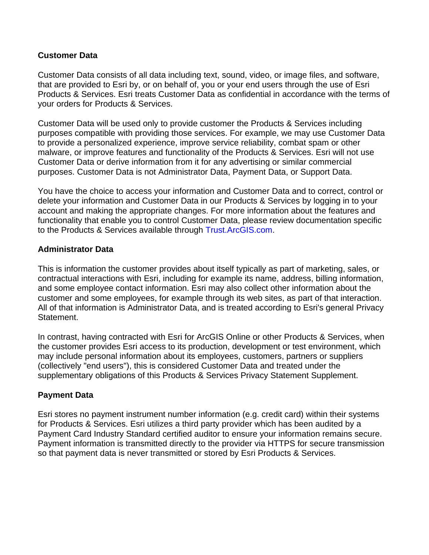## **Customer Data**

Customer Data consists of all data including text, sound, video, or image files, and software, that are provided to Esri by, or on behalf of, you or your end users through the use of Esri Products & Services. Esri treats Customer Data as confidential in accordance with the terms of your orders for Products & Services.

Customer Data will be used only to provide customer the Products & Services including purposes compatible with providing those services. For example, we may use Customer Data to provide a personalized experience, improve service reliability, combat spam or other malware, or improve features and functionality of the Products & Services. Esri will not use Customer Data or derive information from it for any advertising or similar commercial purposes. Customer Data is not Administrator Data, Payment Data, or Support Data.

You have the choice to access your information and Customer Data and to correct, control or delete your information and Customer Data in our Products & Services by logging in to your account and making the appropriate changes. For more information about the features and functionality that enable you to control Customer Data, please review documentation specific to the Products & Services available through [Trust.ArcGIS.com.](http://trust.arcgis.com/)

## **Administrator Data**

This is information the customer provides about itself typically as part of marketing, sales, or contractual interactions with Esri, including for example its name, address, billing information, and some employee contact information. Esri may also collect other information about the customer and some employees, for example through its web sites, as part of that interaction. All of that information is Administrator Data, and is treated according to Esri's general Privacy Statement.

In contrast, having contracted with Esri for ArcGIS Online or other Products & Services, when the customer provides Esri access to its production, development or test environment, which may include personal information about its employees, customers, partners or suppliers (collectively "end users"), this is considered Customer Data and treated under the supplementary obligations of this Products & Services Privacy Statement Supplement.

#### **Payment Data**

Esri stores no payment instrument number information (e.g. credit card) within their systems for Products & Services. Esri utilizes a third party provider which has been audited by a Payment Card Industry Standard certified auditor to ensure your information remains secure. Payment information is transmitted directly to the provider via HTTPS for secure transmission so that payment data is never transmitted or stored by Esri Products & Services.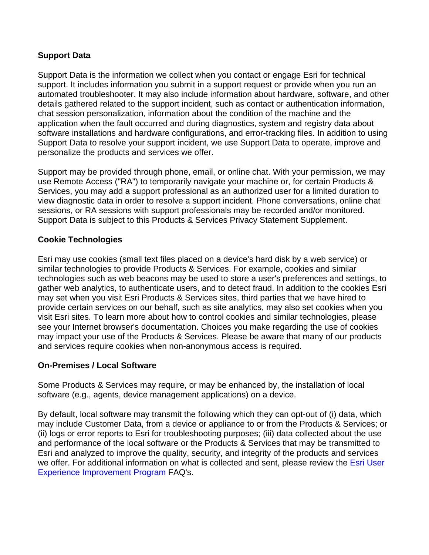# **Support Data**

Support Data is the information we collect when you contact or engage Esri for technical support. It includes information you submit in a support request or provide when you run an automated troubleshooter. It may also include information about hardware, software, and other details gathered related to the support incident, such as contact or authentication information, chat session personalization, information about the condition of the machine and the application when the fault occurred and during diagnostics, system and registry data about software installations and hardware configurations, and error-tracking files. In addition to using Support Data to resolve your support incident, we use Support Data to operate, improve and personalize the products and services we offer.

Support may be provided through phone, email, or online chat. With your permission, we may use Remote Access ("RA") to temporarily navigate your machine or, for certain Products & Services, you may add a support professional as an authorized user for a limited duration to view diagnostic data in order to resolve a support incident. Phone conversations, online chat sessions, or RA sessions with support professionals may be recorded and/or monitored. Support Data is subject to this Products & Services Privacy Statement Supplement.

## **Cookie Technologies**

Esri may use cookies (small text files placed on a device's hard disk by a web service) or similar technologies to provide Products & Services. For example, cookies and similar technologies such as web beacons may be used to store a user's preferences and settings, to gather web analytics, to authenticate users, and to detect fraud. In addition to the cookies Esri may set when you visit Esri Products & Services sites, third parties that we have hired to provide certain services on our behalf, such as site analytics, may also set cookies when you visit Esri sites. To learn more about how to control cookies and similar technologies, please see your Internet browser's documentation. Choices you make regarding the use of cookies may impact your use of the Products & Services. Please be aware that many of our products and services require cookies when non-anonymous access is required.

#### **On-Premises / Local Software**

Some Products & Services may require, or may be enhanced by, the installation of local software (e.g., agents, device management applications) on a device.

By default, local software may transmit the following which they can opt-out of (i) data, which may include Customer Data, from a device or appliance to or from the Products & Services; or (ii) logs or error reports to Esri for troubleshooting purposes; (iii) data collected about the use and performance of the local software or the Products & Services that may be transmitted to Esri and analyzed to improve the quality, security, and integrity of the products and services we offer. For additional information on what is collected and sent, please review the Esri User [Experience Improvement Program](http://support.esri.com/technical-article/000011271) FAQ's.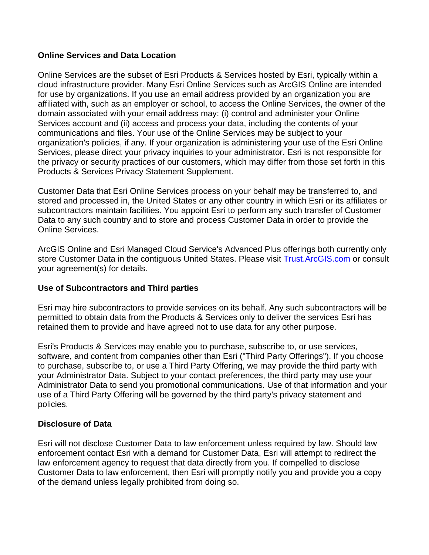### **Online Services and Data Location**

Online Services are the subset of Esri Products & Services hosted by Esri, typically within a cloud infrastructure provider. Many Esri Online Services such as ArcGIS Online are intended for use by organizations. If you use an email address provided by an organization you are affiliated with, such as an employer or school, to access the Online Services, the owner of the domain associated with your email address may: (i) control and administer your Online Services account and (ii) access and process your data, including the contents of your communications and files. Your use of the Online Services may be subject to your organization's policies, if any. If your organization is administering your use of the Esri Online Services, please direct your privacy inquiries to your administrator. Esri is not responsible for the privacy or security practices of our customers, which may differ from those set forth in this Products & Services Privacy Statement Supplement.

Customer Data that Esri Online Services process on your behalf may be transferred to, and stored and processed in, the United States or any other country in which Esri or its affiliates or subcontractors maintain facilities. You appoint Esri to perform any such transfer of Customer Data to any such country and to store and process Customer Data in order to provide the Online Services.

ArcGIS Online and Esri Managed Cloud Service's Advanced Plus offerings both currently only store Customer Data in the contiguous United States. Please visit [Trust.ArcGIS.com](http://trust.arcgis.com/) or consult your agreement(s) for details.

# **Use of Subcontractors and Third parties**

Esri may hire subcontractors to provide services on its behalf. Any such subcontractors will be permitted to obtain data from the Products & Services only to deliver the services Esri has retained them to provide and have agreed not to use data for any other purpose.

Esri's Products & Services may enable you to purchase, subscribe to, or use services, software, and content from companies other than Esri ("Third Party Offerings"). If you choose to purchase, subscribe to, or use a Third Party Offering, we may provide the third party with your Administrator Data. Subject to your contact preferences, the third party may use your Administrator Data to send you promotional communications. Use of that information and your use of a Third Party Offering will be governed by the third party's privacy statement and policies.

# **Disclosure of Data**

Esri will not disclose Customer Data to law enforcement unless required by law. Should law enforcement contact Esri with a demand for Customer Data, Esri will attempt to redirect the law enforcement agency to request that data directly from you. If compelled to disclose Customer Data to law enforcement, then Esri will promptly notify you and provide you a copy of the demand unless legally prohibited from doing so.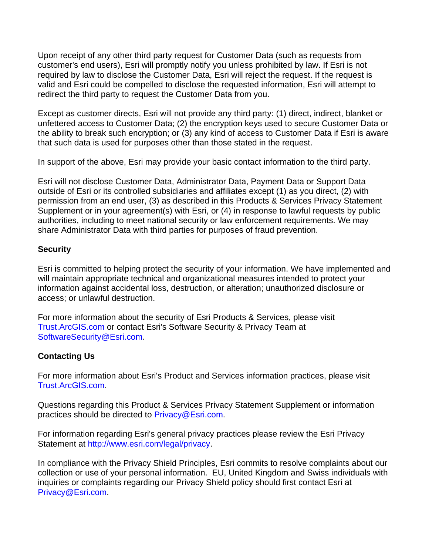Upon receipt of any other third party request for Customer Data (such as requests from customer's end users), Esri will promptly notify you unless prohibited by law. If Esri is not required by law to disclose the Customer Data, Esri will reject the request. If the request is valid and Esri could be compelled to disclose the requested information, Esri will attempt to redirect the third party to request the Customer Data from you.

Except as customer directs, Esri will not provide any third party: (1) direct, indirect, blanket or unfettered access to Customer Data; (2) the encryption keys used to secure Customer Data or the ability to break such encryption; or (3) any kind of access to Customer Data if Esri is aware that such data is used for purposes other than those stated in the request.

In support of the above, Esri may provide your basic contact information to the third party.

Esri will not disclose Customer Data, Administrator Data, Payment Data or Support Data outside of Esri or its controlled subsidiaries and affiliates except (1) as you direct, (2) with permission from an end user, (3) as described in this Products & Services Privacy Statement Supplement or in your agreement(s) with Esri, or (4) in response to lawful requests by public authorities, including to meet national security or law enforcement requirements. We may share Administrator Data with third parties for purposes of fraud prevention.

## **Security**

Esri is committed to helping protect the security of your information. We have implemented and will maintain appropriate technical and organizational measures intended to protect your information against accidental loss, destruction, or alteration; unauthorized disclosure or access; or unlawful destruction.

For more information about the security of Esri Products & Services, please visit [Trust.ArcGIS.com](http://trust.arcgis.com/) or contact Esri's Software Security & Privacy Team at [SoftwareSecurity@Esri.com.](mailto:SoftwareSecurity@Esri.com)

# **Contacting Us**

For more information about Esri's Product and Services information practices, please visit [Trust.ArcGIS.com.](http://trust.arcgis.com/)

Questions regarding this Product & Services Privacy Statement Supplement or information practices should be directed to [Privacy@Esri.com.](mailto:Privacy@Esri.com)

For information regarding Esri's general privacy practices please review the Esri Privacy Statement at [http://www.esri.com/legal/privacy.](http://www.esri.com/legal/privacy)

In compliance with the Privacy Shield Principles, Esri commits to resolve complaints about our collection or use of your personal information. EU, United Kingdom and Swiss individuals with inquiries or complaints regarding our Privacy Shield policy should first contact Esri at [Privacy@Esri.com.](mailto:Privacy@Esri.com)